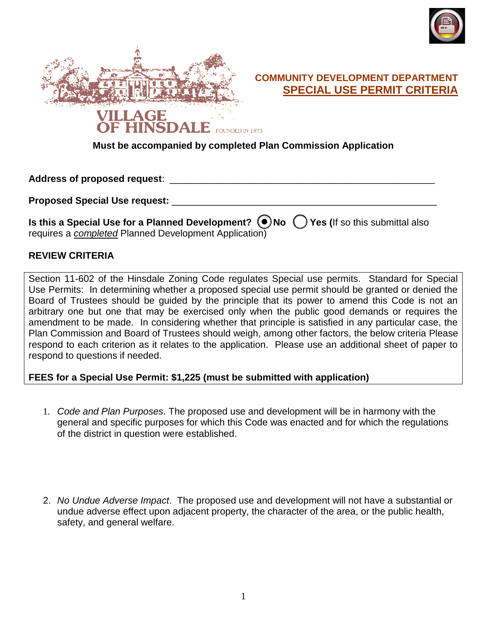



## **COMMUNITY DEVELOPMENT DEPARTMENT SPECIAL USE PERMIT CRITERIA**

**Must be accompanied by completed Plan Commission Application**

**Address of proposed request**: \_\_\_\_\_\_\_\_\_\_\_\_\_\_\_\_\_\_\_\_\_\_\_\_\_\_\_\_\_\_\_\_\_\_\_\_\_\_\_\_\_\_\_\_\_\_\_\_\_\_

**Proposed Special Use request:** \_\_\_\_\_\_\_\_\_\_\_\_\_\_\_\_\_\_\_\_\_\_\_\_\_\_\_\_\_\_\_\_\_\_\_\_\_\_\_\_\_\_\_\_\_\_\_\_\_\_

**Is this a Special Use for a Planned Development? (.) No (.) Yes (If so this submittal also** requires a *completed* Planned Development Application)

## **REVIEW CRITERIA**

Section 11-602 of the Hinsdale Zoning Code regulates Special use permits. Standard for Special Use Permits: In determining whether a proposed special use permit should be granted or denied the Board of Trustees should be guided by the principle that its power to amend this Code is not an arbitrary one but one that may be exercised only when the public good demands or requires the amendment to be made. In considering whether that principle is satisfied in any particular case, the Plan Commission and Board of Trustees should weigh, among other factors, the below criteria Please respond to each criterion as it relates to the application. Please use an additional sheet of paper to respond to questions if needed.

## **FEES for a Special Use Permit: \$1,225 (must be submitted with application)**

- 1. *Code and Plan Purposes*. The proposed use and development will be in harmony with the general and specific purposes for which this Code was enacted and for which the regulations of the district in question were established.
- 2. *No Undue Adverse Impact*. The proposed use and development will not have a substantial or undue adverse effect upon adjacent property, the character of the area, or the public health, safety, and general welfare.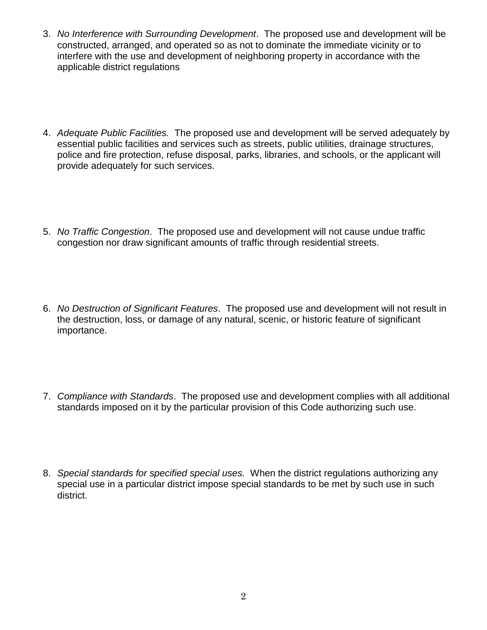- 3. *No Interference with Surrounding Development*. The proposed use and development will be constructed, arranged, and operated so as not to dominate the immediate vicinity or to interfere with the use and development of neighboring property in accordance with the applicable district regulations
- 4. *Adequate Public Facilities.* The proposed use and development will be served adequately by essential public facilities and services such as streets, public utilities, drainage structures, police and fire protection, refuse disposal, parks, libraries, and schools, or the applicant will provide adequately for such services.
- 5. *No Traffic Congestion*. The proposed use and development will not cause undue traffic congestion nor draw significant amounts of traffic through residential streets.
- 6. *No Destruction of Significant Features*. The proposed use and development will not result in the destruction, loss, or damage of any natural, scenic, or historic feature of significant importance.
- 7. *Compliance with Standards*. The proposed use and development complies with all additional standards imposed on it by the particular provision of this Code authorizing such use.
- 8. *Special standards for specified special uses.* When the district regulations authorizing any special use in a particular district impose special standards to be met by such use in such district.